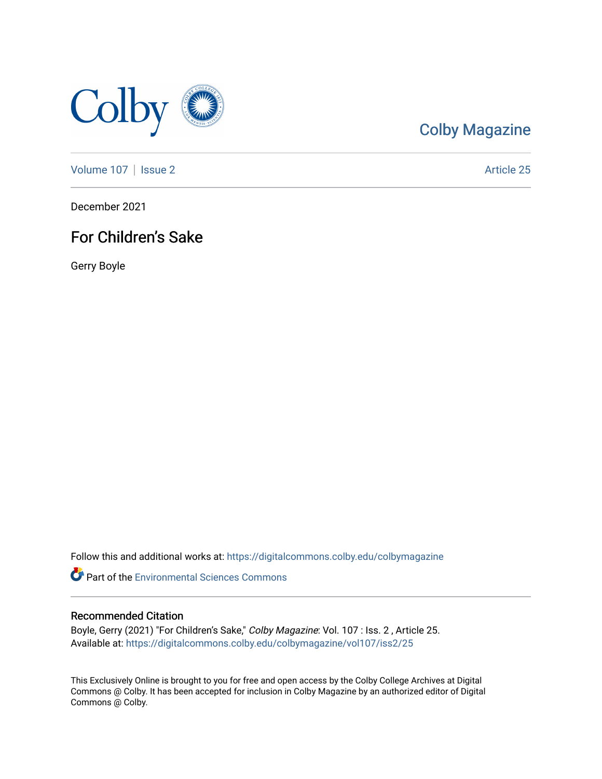

#### [Colby Magazine](https://digitalcommons.colby.edu/colbymagazine)

[Volume 107](https://digitalcommons.colby.edu/colbymagazine/vol107) | [Issue 2](https://digitalcommons.colby.edu/colbymagazine/vol107/iss2) Article 25

December 2021

#### For Children's Sake

Gerry Boyle

Follow this and additional works at: [https://digitalcommons.colby.edu/colbymagazine](https://digitalcommons.colby.edu/colbymagazine?utm_source=digitalcommons.colby.edu%2Fcolbymagazine%2Fvol107%2Fiss2%2F25&utm_medium=PDF&utm_campaign=PDFCoverPages)

**Part of the [Environmental Sciences Commons](http://network.bepress.com/hgg/discipline/167?utm_source=digitalcommons.colby.edu%2Fcolbymagazine%2Fvol107%2Fiss2%2F25&utm_medium=PDF&utm_campaign=PDFCoverPages)** 

#### Recommended Citation

Boyle, Gerry (2021) "For Children's Sake," Colby Magazine: Vol. 107 : Iss. 2 , Article 25. Available at: [https://digitalcommons.colby.edu/colbymagazine/vol107/iss2/25](https://digitalcommons.colby.edu/colbymagazine/vol107/iss2/25?utm_source=digitalcommons.colby.edu%2Fcolbymagazine%2Fvol107%2Fiss2%2F25&utm_medium=PDF&utm_campaign=PDFCoverPages)

This Exclusively Online is brought to you for free and open access by the Colby College Archives at Digital Commons @ Colby. It has been accepted for inclusion in Colby Magazine by an authorized editor of Digital Commons @ Colby.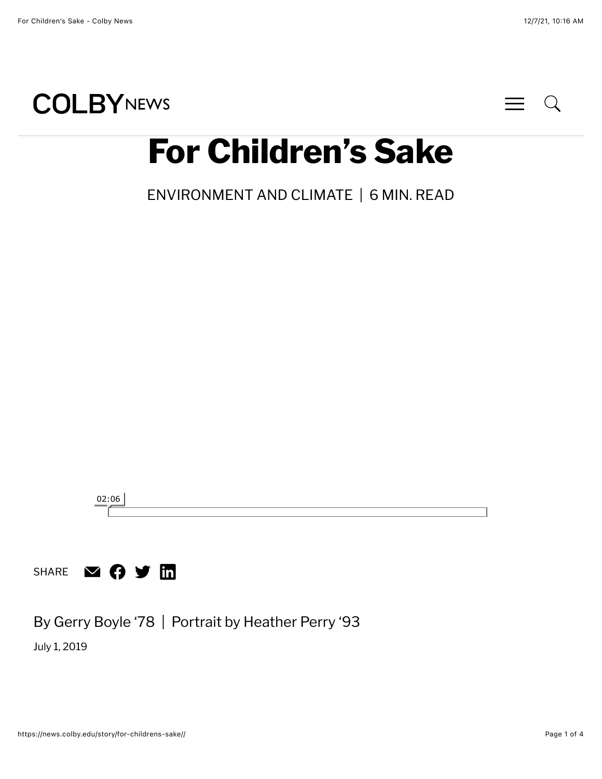



# **For Children's Sake**

[ENVIRONMENT AND CLIMATE](https://news.colby.edu/story/category/environment-and-climate/) | 6 MIN. READ



By Gerry Boyle '78 | Portrait by Heather Perry '93

July 1, 2019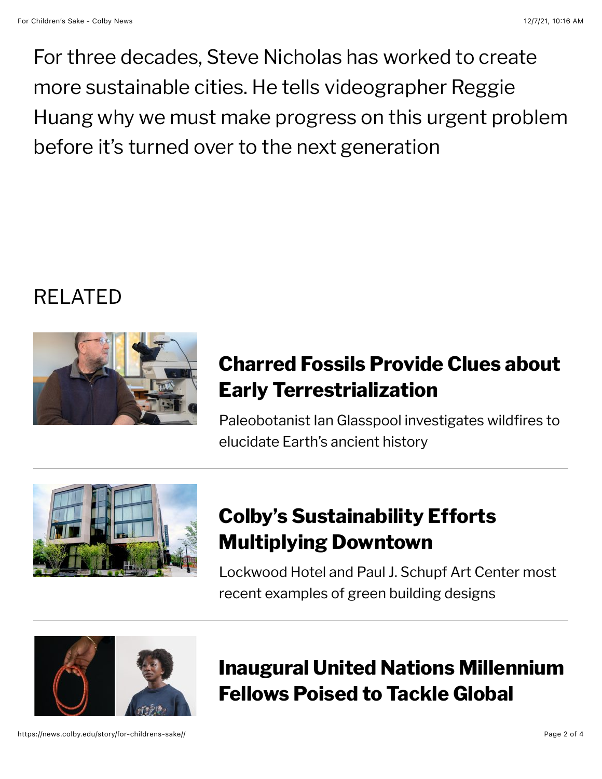For three decades, Steve Nicholas has worked to create more sustainable cities. He tells videographer Reggie Huang why we must make progress on this urgent problem before it's turned over to the next generation

## RELATED



#### **[Charred Fossils Provide Clues about](https://news.colby.edu/story/fossils-from-wildfires-provide-clues-about-terrestrialization/) Early Terrestrialization**

Paleobotanist Ian Glasspool investigates wildfires to elucidate Earth's ancient history



### **[Colby's Sustainability Efforts](https://news.colby.edu/story/sustainability-efforts-multiplying-downtown/) Multiplying Downtown**

Lockwood Hotel and Paul J. Schupf Art Center most recent examples of green building designs



**[Inaugural United Nations Millennium](https://news.colby.edu/story/united-nations-millennium-fellows-named/) Fellows Poised to Tackle Global**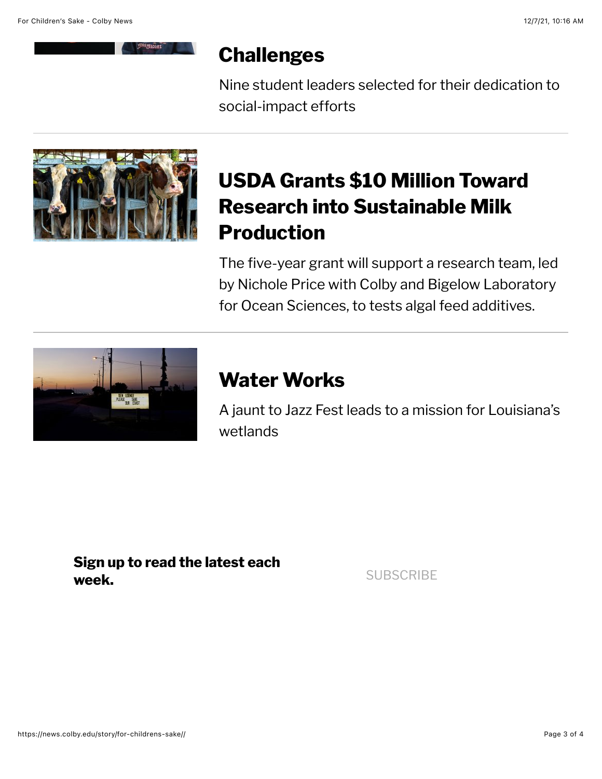#### **Challenges**

[Nine student leaders selected for their dedication to](https://news.colby.edu/story/united-nations-millennium-fellows-named/) social-impact efforts



### **[USDA Grants \\$10 Million Toward](https://news.colby.edu/story/usda-grants-10-million-for-sustainable-milk-production/) Research into Sustainable Milk Production**

The five-year grant will support a research team, led by Nichole Price with Colby and Bigelow Laboratory for Ocean Sciences, to tests algal feed additives.



#### **Water Works**

[A jaunt to Jazz Fest leads to a mission for Louisiana's](https://news.colby.edu/story/boosting-gulf-coast-ecosystem-resiliency/) wetlands

**Sign up to read the latest each** week.